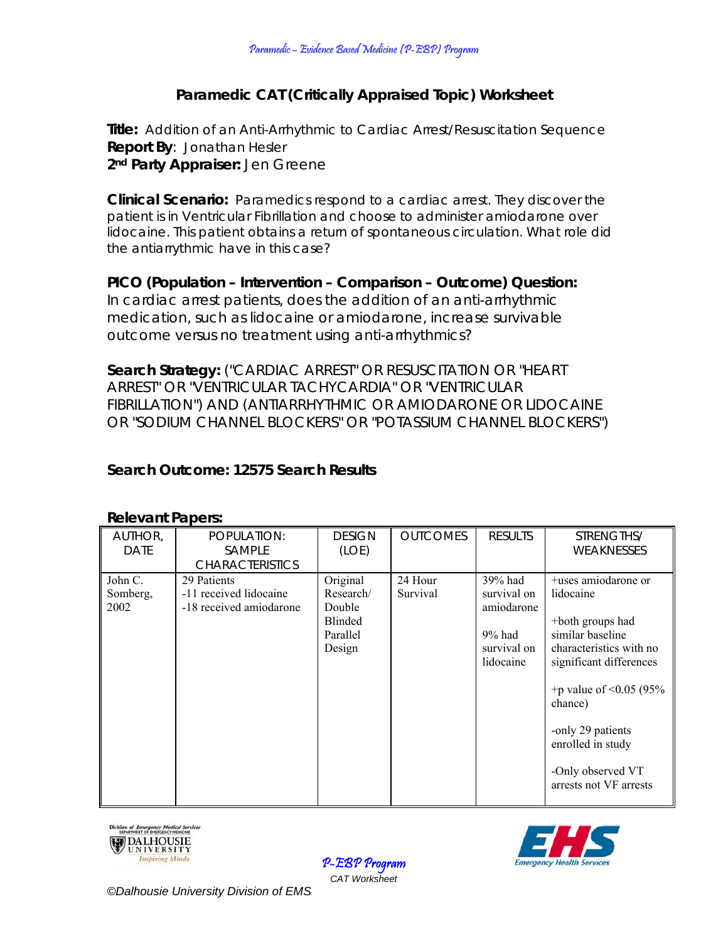# **Paramedic CAT (Critically Appraised Topic) Worksheet**

**Title:** Addition of an Anti-Arrhythmic to Cardiac Arrest/Resuscitation Sequence **Report By**: Jonathan Hesler **2nd Party Appraiser:** Jen Greene

**Clinical Scenario:** Paramedics respond to a cardiac arrest. They discover the patient is in Ventricular Fibrillation and choose to administer amiodarone over lidocaine. This patient obtains a return of spontaneous circulation. What role did the antiarrythmic have in this case?

**PICO (Population – Intervention – Comparison – Outcome) Question:**  In cardiac arrest patients, does the addition of an anti-arrhythmic medication, such as lidocaine or amiodarone, increase survivable outcome versus no treatment using anti-arrhythmics?

**Search Strategy:** ("CARDIAC ARREST" OR RESUSCITATION OR "HEART ARREST" OR "VENTRICULAR TACHYCARDIA" OR "VENTRICULAR FIBRILLATION") AND (ANTIARRHYTHMIC OR AMIODARONE OR LIDOCAINE OR "SODIUM CHANNEL BLOCKERS" OR "POTASSIUM CHANNEL BLOCKERS")

# **Search Outcome: 12575 Search Results**

| AUTHOR,     | POPULATION:             | <b>DESIGN</b> | <b>OUTCOMES</b> | <b>RESULTS</b>           | STRENGTHS/                   |
|-------------|-------------------------|---------------|-----------------|--------------------------|------------------------------|
| <b>DATE</b> | <b>SAMPLE</b>           | (LOE)         |                 |                          | WEAKNESSES                   |
|             | <b>CHARACTERISTICS</b>  |               |                 |                          |                              |
| John C.     | 29 Patients             | Original      | 24 Hour         | 39% had                  | +uses amiodarone or          |
| Somberg,    | -11 received lidocaine  | Research/     | Survival        | survival on              | lidocaine                    |
| 2002        | -18 received amiodarone | Double        |                 | amiodarone               |                              |
|             |                         | Blinded       |                 |                          | +both groups had             |
|             |                         | Parallel      |                 | $9%$ had                 | similar baseline             |
|             |                         | Design        |                 | survival on<br>lidocaine | characteristics with no      |
|             |                         |               |                 |                          | significant differences      |
|             |                         |               |                 |                          | +p value of $\leq$ 0.05 (95% |
|             |                         |               |                 |                          | chance)                      |
|             |                         |               |                 |                          | -only 29 patients            |
|             |                         |               |                 |                          | enrolled in study            |
|             |                         |               |                 |                          | -Only observed VT            |
|             |                         |               |                 |                          | arrests not VF arrests       |
|             |                         |               |                 |                          |                              |

#### **Relevant Papers:**





P-EBP Program *CAT Worksheet*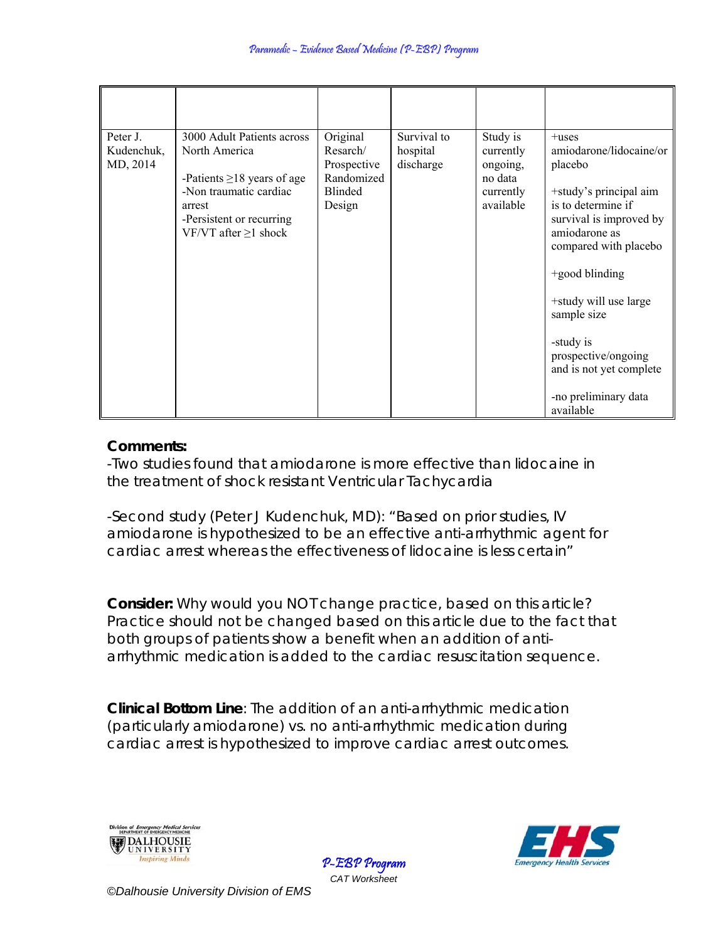| Peter J.<br>Kudenchuk,<br>MD, 2014 | 3000 Adult Patients across<br>North America<br>-Patients $\geq$ 18 years of age<br>-Non traumatic cardiac<br>arrest<br>-Persistent or recurring<br>VF/VT after $\geq$ 1 shock | Original<br>Resarch/<br>Prospective<br>Randomized<br><b>Blinded</b><br>Design | Survival to<br>hospital<br>discharge | Study is<br>currently<br>ongoing,<br>no data<br>currently<br>available | $+$ uses<br>amiodarone/lidocaine/or<br>placebo<br>+study's principal aim<br>is to determine if<br>survival is improved by<br>amiodarone as<br>compared with placebo<br>$+$ good blinding<br>+study will use large<br>sample size<br>-study is<br>prospective/ongoing<br>and is not yet complete<br>-no preliminary data<br>available |
|------------------------------------|-------------------------------------------------------------------------------------------------------------------------------------------------------------------------------|-------------------------------------------------------------------------------|--------------------------------------|------------------------------------------------------------------------|--------------------------------------------------------------------------------------------------------------------------------------------------------------------------------------------------------------------------------------------------------------------------------------------------------------------------------------|

## **Comments:**

-Two studies found that amiodarone is more effective than lidocaine in the treatment of shock resistant Ventricular Tachycardia

-Second study (Peter J Kudenchuk, MD): "Based on prior studies, IV amiodarone is hypothesized to be an effective anti-arrhythmic agent for cardiac arrest whereas the effectiveness of lidocaine is less certain"

**Consider:** *Why would you NOT change practice, based on this article?* Practice should not be changed based on this article due to the fact that both groups of patients show a benefit when an addition of antiarrhythmic medication is added to the cardiac resuscitation sequence.

> P-EBP Program *CAT Worksheet*

**Clinical Bottom Line**: The addition of an anti-arrhythmic medication (particularly amiodarone) vs. no anti-arrhythmic medication during cardiac arrest is hypothesized to improve cardiac arrest outcomes.





*©Dalhousie University Division of EMS*